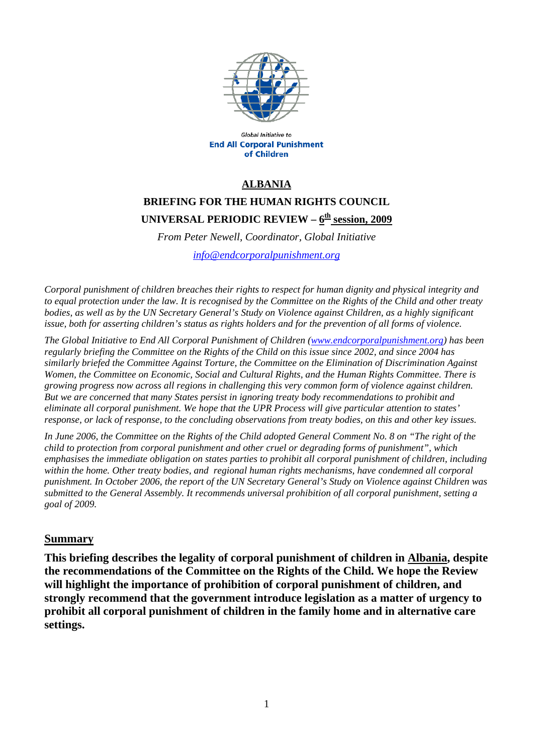

Global Initiative to **End All Corporal Punishment** of Children

## **ALBANIA**

# **BRIEFING FOR THE HUMAN RIGHTS COUNCIL**  UNIVERSAL PERIODIC REVIEW -  $6<sup>th</sup>$  session, 2009

*From Peter Newell, Coordinator, Global Initiative* 

*[info@endcorporalpunishment.org](mailto:info@endcorporalpunishment.org)*

*Corporal punishment of children breaches their rights to respect for human dignity and physical integrity and to equal protection under the law. It is recognised by the Committee on the Rights of the Child and other treaty*  bodies, as well as by the UN Secretary General's Study on Violence against Children, as a highly significant *issue, both for asserting children's status as rights holders and for the prevention of all forms of violence.* 

*The Global Initiative to End All Corporal Punishment of Children [\(www.endcorporalpunishment.org](http://www.endcorporalpunishment.org/)) has been regularly briefing the Committee on the Rights of the Child on this issue since 2002, and since 2004 has similarly briefed the Committee Against Torture, the Committee on the Elimination of Discrimination Against Women, the Committee on Economic, Social and Cultural Rights, and the Human Rights Committee. There is growing progress now across all regions in challenging this very common form of violence against children. But we are concerned that many States persist in ignoring treaty body recommendations to prohibit and eliminate all corporal punishment. We hope that the UPR Process will give particular attention to states' response, or lack of response, to the concluding observations from treaty bodies, on this and other key issues.* 

*In June 2006, the Committee on the Rights of the Child adopted General Comment No. 8 on "The right of the child to protection from corporal punishment and other cruel or degrading forms of punishment", which emphasises the immediate obligation on states parties to prohibit all corporal punishment of children, including within the home. Other treaty bodies, and regional human rights mechanisms, have condemned all corporal punishment. In October 2006, the report of the UN Secretary General's Study on Violence against Children was submitted to the General Assembly. It recommends universal prohibition of all corporal punishment, setting a goal of 2009.*

#### **Summary**

**This briefing describes the legality of corporal punishment of children in Albania, despite the recommendations of the Committee on the Rights of the Child. We hope the Review will highlight the importance of prohibition of corporal punishment of children, and strongly recommend that the government introduce legislation as a matter of urgency to prohibit all corporal punishment of children in the family home and in alternative care settings.**